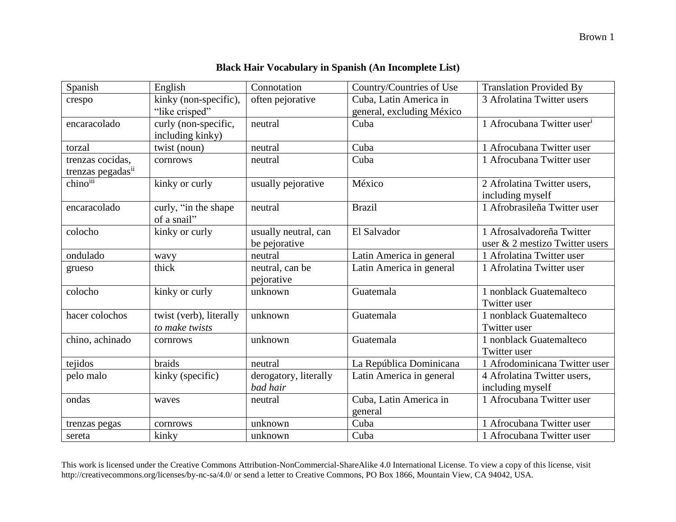| Spanish           | English                 | Connotation           | Country/Countries of Use  | <b>Translation Provided By</b>         |
|-------------------|-------------------------|-----------------------|---------------------------|----------------------------------------|
| crespo            | kinky (non-specific),   | often pejorative      | Cuba, Latin America in    | 3 Afrolatina Twitter users             |
|                   | "like crisped"          |                       | general, excluding México |                                        |
| encaracolado      | curly (non-specific,    | neutral               | Cuba                      | 1 Afrocubana Twitter user <sup>i</sup> |
|                   | including kinky)        |                       |                           |                                        |
| torzal            | twist (noun)            | neutral               | Cuba                      | 1 Afrocubana Twitter user              |
| trenzas cocidas,  | cornrows                | neutral               | Cuba                      | 1 Afrocubana Twitter user              |
| trenzas pegadasii |                         |                       |                           |                                        |
| chinoiii          | kinky or curly          | usually pejorative    | México                    | 2 Afrolatina Twitter users,            |
|                   |                         |                       |                           | including myself                       |
| encaracolado      | curly, "in the shape    | neutral               | <b>Brazil</b>             | 1 Afrobrasileña Twitter user           |
|                   | of a snail"             |                       |                           |                                        |
| colocho           | kinky or curly          | usually neutral, can  | El Salvador               | 1 Afrosalvadoreña Twitter              |
|                   |                         | be pejorative         |                           | user & 2 mestizo Twitter users         |
| ondulado          | wavy                    | neutral               | Latin America in general  | 1 Afrolatina Twitter user              |
| grueso            | thick                   | neutral, can be       | Latin America in general  | 1 Afrolatina Twitter user              |
|                   |                         | pejorative            |                           |                                        |
| colocho           | kinky or curly          | unknown               | Guatemala                 | 1 nonblack Guatemalteco                |
|                   |                         |                       |                           | Twitter user                           |
| hacer colochos    | twist (verb), literally | unknown               | Guatemala                 | 1 nonblack Guatemalteco                |
|                   | to make twists          |                       |                           | Twitter user                           |
| chino, achinado   | cornrows                | unknown               | Guatemala                 | 1 nonblack Guatemalteco                |
|                   |                         |                       |                           | Twitter user                           |
| tejidos           | braids                  | neutral               | La República Dominicana   | 1 Afrodominicana Twitter user          |
| pelo malo         | kinky (specific)        | derogatory, literally | Latin America in general  | 4 Afrolatina Twitter users,            |
|                   |                         | bad hair              |                           | including myself                       |
| ondas             | waves                   | neutral               | Cuba, Latin America in    | 1 Afrocubana Twitter user              |
|                   |                         |                       | general                   |                                        |
| trenzas pegas     | cornrows                | unknown               | Cuba                      | 1 Afrocubana Twitter user              |
| sereta            | kinky                   | unknown               | Cuba                      | 1 Afrocubana Twitter user              |

This work is licensed under the Creative Commons Attribution-NonCommercial-ShareAlike 4.0 International License. To view a copy of this license, visit http://creativecommons.org/licenses/by-nc-sa/4.0/ or send a letter to Creative Commons, PO Box 1866, Mountain View, CA 94042, USA.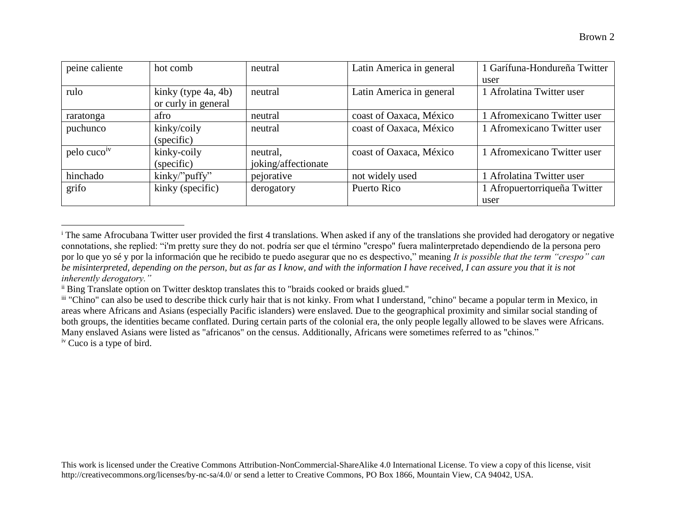| peine caliente          | hot comb            | neutral             | Latin America in general | 1 Garífuna-Hondureña Twitter |
|-------------------------|---------------------|---------------------|--------------------------|------------------------------|
|                         |                     |                     |                          | user                         |
| rulo                    | kinky (type 4a, 4b) | neutral             | Latin America in general | 1 Afrolatina Twitter user    |
|                         | or curly in general |                     |                          |                              |
| raratonga               | afro                | neutral             | coast of Oaxaca, México  | 1 Afromexicano Twitter user  |
| puchunco                | kinky/coily         | neutral             | coast of Oaxaca, México  | 1 Afromexicano Twitter user  |
|                         | (specific)          |                     |                          |                              |
| pelo cuco <sup>iv</sup> | kinky-coily         | neutral,            | coast of Oaxaca, México  | 1 Afromexicano Twitter user  |
|                         | (specific)          | joking/affectionate |                          |                              |
| hinchado                | kinky/"puffy"       | pejorative          | not widely used          | 1 Afrolatina Twitter user    |
| grifo                   | kinky (specific)    | derogatory          | Puerto Rico              | 1 Afropuertorriqueña Twitter |
|                         |                     |                     |                          | user                         |

<sup>&</sup>lt;sup>i</sup> The same Afrocubana Twitter user provided the first 4 translations. When asked if any of the translations she provided had derogatory or negative connotations, she replied: "i'm pretty sure they do not. podría ser que el término "crespo" fuera malinterpretado dependiendo de la persona pero por lo que yo sé y por la información que he recibido te puedo asegurar que no es despectivo," meaning *It is possible that the term "crespo" can be misinterpreted, depending on the person, but as far as I know, and with the information I have received, I can assure you that it is not inherently derogatory."*

 $\overline{a}$ 

ii Bing Translate option on Twitter desktop translates this to "braids cooked or braids glued."

iii "Chino" can also be used to describe thick curly hair that is not kinky. From what I understand, "chino" became a popular term in Mexico, in areas where Africans and Asians (especially Pacific islanders) were enslaved. Due to the geographical proximity and similar social standing of both groups, the identities became conflated. During certain parts of the colonial era, the only people legally allowed to be slaves were Africans. Many enslaved Asians were listed as "africanos" on the census. Additionally, Africans were sometimes referred to as "chinos." iv Cuco is a type of bird.